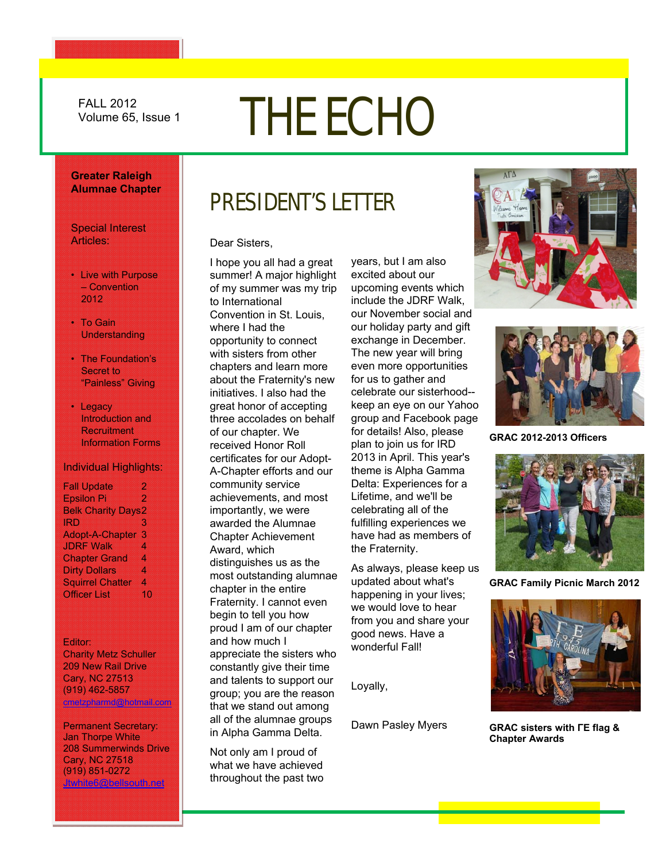FALL 2012

# FALL 2012<br>Volume 65, Issue 1 THE ECHO

#### **Greater Raleigh Alumnae Chapter**

Special Interest Articles:

- Live with Purpose – Convention 2012
- To Gain Understanding
- The Foundation's Secret to "Painless" Giving
- Legacy Introduction and **Recruitment** Information Forms

#### Individual Highlights:

| <b>Fall Update</b>        | 2  |
|---------------------------|----|
| <b>Epsilon Pi</b>         | 2  |
| <b>Belk Charity Days2</b> |    |
| IRD                       | 3  |
| <b>Adopt-A-Chapter</b>    | З  |
| <b>JDRF Walk</b>          | 4  |
| <b>Chapter Grand</b>      | 4  |
| <b>Dirty Dollars</b>      | Δ  |
| <b>Squirrel Chatter</b>   | 4  |
| <b>Officer List</b>       | 10 |

#### Editor:

Charity Metz Schuller 209 New Rail Drive Cary, NC 27513 (919) 462-5857 cmetzpharmd@hotmail.com

Permanent Secretary: Jan Thorpe White 208 Summerwinds Drive Cary, NC 27518 (919) 851-0272 Jtwhite6@bellsouth.net

## PRESIDENT'S LETTER

Dear Sisters,

I hope you all had a great summer! A major highlight of my summer was my trip to International Convention in St. Louis, where I had the opportunity to connect with sisters from other chapters and learn more about the Fraternity's new initiatives. I also had the great honor of accepting three accolades on behalf of our chapter. We received Honor Roll certificates for our Adopt-A-Chapter efforts and our community service achievements, and most importantly, we were awarded the Alumnae Chapter Achievement Award, which distinguishes us as the most outstanding alumnae chapter in the entire Fraternity. I cannot even begin to tell you how proud I am of our chapter and how much I appreciate the sisters who constantly give their time and talents to support our group; you are the reason that we stand out among all of the alumnae groups in Alpha Gamma Delta.

Not only am I proud of what we have achieved throughout the past two

years, but I am also excited about our upcoming events which include the JDRF Walk, our November social and our holiday party and gift exchange in December. The new year will bring even more opportunities for us to gather and celebrate our sisterhood- keep an eye on our Yahoo group and Facebook page for details! Also, please plan to join us for IRD 2013 in April. This year's theme is Alpha Gamma Delta: Experiences for a Lifetime, and we'll be celebrating all of the fulfilling experiences we have had as members of the Fraternity.

As always, please keep us updated about what's happening in your lives; we would love to hear from you and share your good news. Have a wonderful Fall!

Loyally,

Dawn Pasley Myers





**GRAC 2012-2013 Officers** 



**GRAC Family Picnic March 2012**



**GRAC sisters with ΓE flag & Chapter Awards**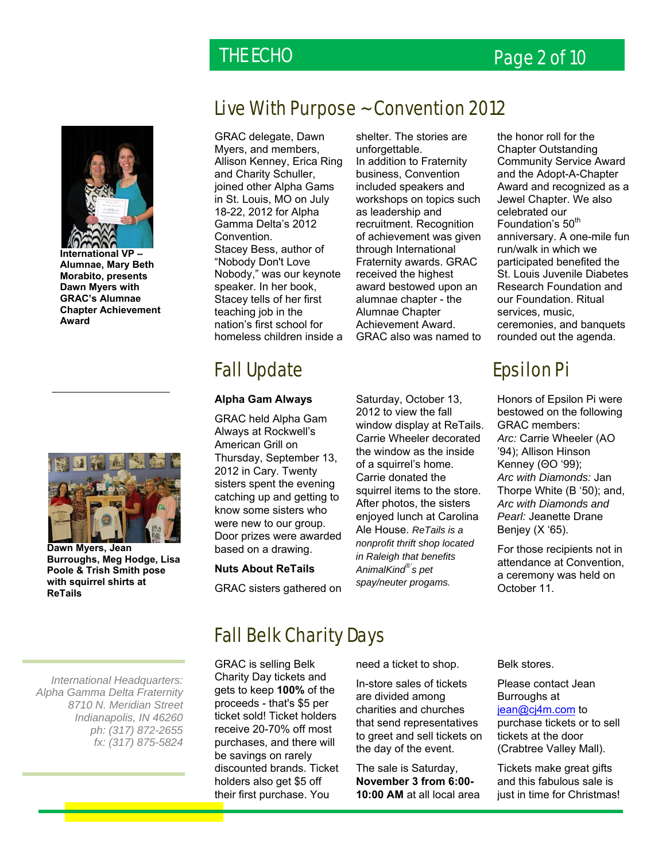## THE ECHO **Page 2 of 10**



**International VP – Alumnae, Mary Beth Morabito, presents Dawn Myers with GRAC's Alumnae Chapter Achievement Award** 



**Dawn Myers, Jean Burroughs, Meg Hodge, Lisa Poole & Trish Smith pose with squirrel shirts at ReTails** 

*International Headquarters: Alpha Gamma Delta Fraternity 8710 N. Meridian Street Indianapolis, IN 46260 ph: (317) 872-2655 fx: (317) 875-5824*

## Live With Purpose ~ Convention 2012

shelter. The stories are

In addition to Fraternity business, Convention included speakers and workshops on topics such

unforgettable.

as leadership and recruitment. Recognition of achievement was given through International Fraternity awards. GRAC received the highest award bestowed upon an alumnae chapter - the Alumnae Chapter Achievement Award. GRAC also was named to

GRAC delegate, Dawn Myers, and members, Allison Kenney, Erica Ring and Charity Schuller, joined other Alpha Gams in St. Louis, MO on July 18-22, 2012 for Alpha Gamma Delta's 2012 Convention. Stacey Bess, author of "Nobody Don't Love Nobody," was our keynote speaker. In her book, Stacey tells of her first teaching job in the nation's first school for homeless children inside a

Fall Update **Existing Experiment Property** Epsilon Pi

#### **Alpha Gam Always**

GRAC held Alpha Gam Always at Rockwell's American Grill on Thursday, September 13, 2012 in Cary. Twenty sisters spent the evening catching up and getting to know some sisters who were new to our group. Door prizes were awarded based on a drawing.

#### **Nuts About ReTails**

GRAC sisters gathered on

Saturday, October 13, 2012 to view the fall window display at ReTails. Carrie Wheeler decorated the window as the inside of a squirrel's home. Carrie donated the squirrel items to the store. After photos, the sisters enjoyed lunch at Carolina Ale House. *ReTails is a nonprofit thrift shop located in Raleigh that benefits AnimalKind®'s pet spay/neuter progams.*

the honor roll for the Chapter Outstanding Community Service Award and the Adopt-A-Chapter Award and recognized as a Jewel Chapter. We also celebrated our Foundation's 50<sup>th</sup> anniversary. A one-mile fun run/walk in which we participated benefited the St. Louis Juvenile Diabetes Research Foundation and our Foundation. Ritual services, music, ceremonies, and banquets rounded out the agenda.

Honors of Epsilon Pi were bestowed on the following GRAC members: *Arc:* Carrie Wheeler (AO '94); Allison Hinson Kenney (ΘΟ '99); *Arc with Diamonds:* Jan Thorpe White (Β '50); and, *Arc with Diamonds and Pearl:* Jeanette Drane Benjey (Χ '65).

For those recipients not in attendance at Convention, a ceremony was held on October 11.

## Fall Belk Charity Days

GRAC is selling Belk Charity Day tickets and gets to keep **100%** of the proceeds - that's \$5 per ticket sold! Ticket holders receive 20-70% off most purchases, and there will be savings on rarely discounted brands. Ticket holders also get \$5 off their first purchase. You

need a ticket to shop.

In-store sales of tickets are divided among charities and churches that send representatives to greet and sell tickets on the day of the event.

The sale is Saturday, **November 3 from 6:00- 10:00 AM** at all local area Belk stores.

Please contact Jean Burroughs at jean@cj4m.com to purchase tickets or to sell tickets at the door (Crabtree Valley Mall).

Tickets make great gifts and this fabulous sale is just in time for Christmas!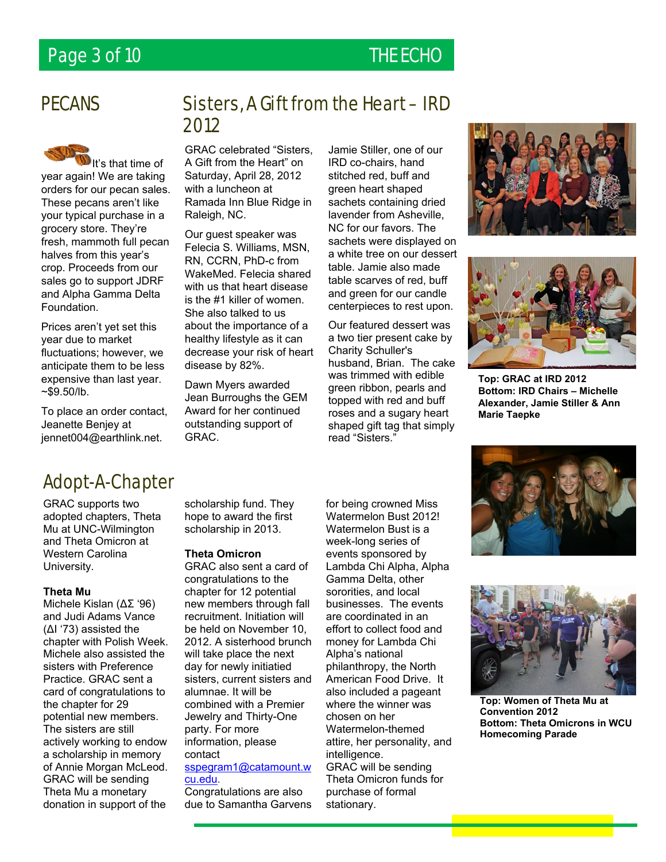## Page 3 of 10 THE ECHO





It's that time of year again! We are taking orders for our pecan sales. These pecans aren't like your typical purchase in a grocery store. They're fresh, mammoth full pecan halves from this year's crop. Proceeds from our sales go to support JDRF and Alpha Gamma Delta Foundation.

Prices aren't yet set this year due to market fluctuations; however, we anticipate them to be less expensive than last year.  $~59.50$ /lb.

To place an order contact, Jeanette Benjey at jennet004@earthlink.net.

## PECANS Sisters, A Gift from the Heart – IRD 2012

GRAC celebrated "Sisters, A Gift from the Heart" on Saturday, April 28, 2012 with a luncheon at Ramada Inn Blue Ridge in Raleigh, NC.

Our guest speaker was Felecia S. Williams, MSN, RN, CCRN, PhD-c from WakeMed. Felecia shared with us that heart disease is the #1 killer of women. She also talked to us about the importance of a healthy lifestyle as it can decrease your risk of heart disease by 82%.

Dawn Myers awarded Jean Burroughs the GEM Award for her continued outstanding support of GRAC.

Jamie Stiller, one of our IRD co-chairs, hand stitched red, buff and green heart shaped sachets containing dried lavender from Asheville, NC for our favors. The sachets were displayed on a white tree on our dessert table. Jamie also made table scarves of red, buff and green for our candle centerpieces to rest upon.

Our featured dessert was a two tier present cake by Charity Schuller's husband, Brian. The cake was trimmed with edible green ribbon, pearls and topped with red and buff roses and a sugary heart shaped gift tag that simply read "Sisters."





**Top: GRAC at IRD 2012 Bottom: IRD Chairs – Michelle Alexander, Jamie Stiller & Ann Marie Taepke** 

## Adopt-A-Chapter

GRAC supports two adopted chapters, Theta Mu at UNC-Wilmington and Theta Omicron at Western Carolina University.

#### **Theta Mu**

Michele Kislan (ΔΣ '96) and Judi Adams Vance (ΔΙ '73) assisted the chapter with Polish Week. Michele also assisted the sisters with Preference Practice. GRAC sent a card of congratulations to the chapter for 29 potential new members. The sisters are still actively working to endow a scholarship in memory of Annie Morgan McLeod. GRAC will be sending Theta Mu a monetary donation in support of the

scholarship fund. They hope to award the first scholarship in 2013.

#### **Theta Omicron**

GRAC also sent a card of congratulations to the chapter for 12 potential new members through fall recruitment. Initiation will be held on November 10, 2012. A sisterhood brunch will take place the next day for newly initiatied sisters, current sisters and alumnae. It will be combined with a Premier Jewelry and Thirty-One party. For more information, please contact sspegram1@catamount.w

#### cu.edu.

Congratulations are also due to Samantha Garvens

for being crowned Miss Watermelon Bust 2012! Watermelon Bust is a week-long series of events sponsored by Lambda Chi Alpha, Alpha Gamma Delta, other sororities, and local businesses. The events are coordinated in an effort to collect food and money for Lambda Chi Alpha's national philanthropy, the North American Food Drive. It also included a pageant where the winner was chosen on her Watermelon-themed attire, her personality, and intelligence. GRAC will be sending Theta Omicron funds for purchase of formal stationary.





**Top: Women of Theta Mu at Convention 2012 Bottom: Theta Omicrons in WCU Homecoming Parade**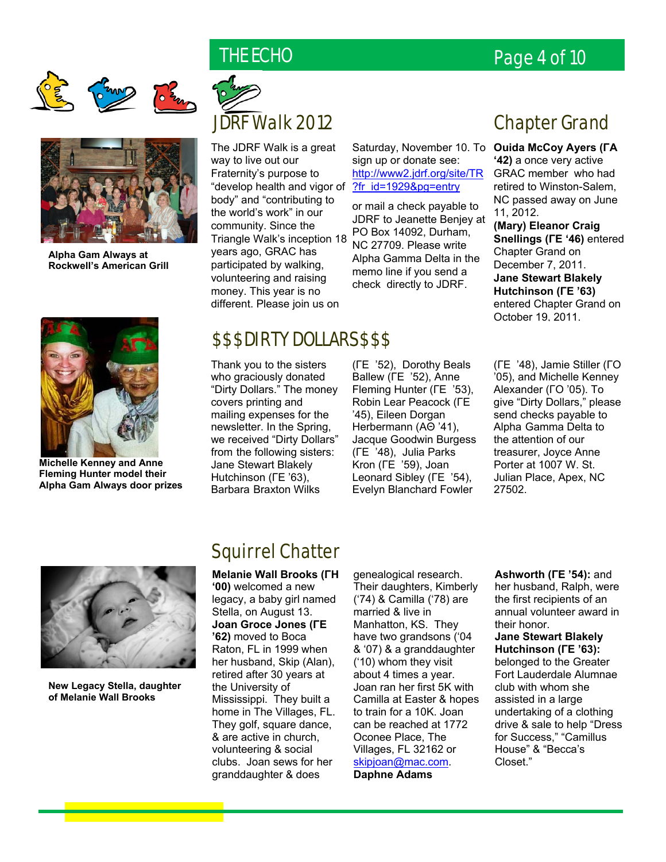





**Alpha Gam Always at Rockwell's American Grill** 



The JDRF Walk is a great way to live out our Fraternity's purpose to "develop health and vigor of ?fr\_id=1929&pg=entry body" and "contributing to the world's work" in our community. Since the Triangle Walk's inception 18 years ago, GRAC has participated by walking, volunteering and raising money. This year is no different. Please join us on

Saturday, November 10. To **Ouida McCoy Ayers (ΓA**  sign up or donate see: http://www2.jdrf.org/site/TR

or mail a check payable to JDRF to Jeanette Benjey at PO Box 14092, Durham, NC 27709. Please write Alpha Gamma Delta in the memo line if you send a check directly to JDRF.

## JDRF Walk 2012 Chapter Grand

**'42)** a once very active GRAC member who had retired to Winston-Salem, NC passed away on June 11, 2012. **(Mary) Eleanor Craig Snellings (ΓE '46)** entered Chapter Grand on December 7, 2011. **Jane Stewart Blakely Hutchinson (ΓE '63)** entered Chapter Grand on October 19, 2011.



**Michelle Kenney and Anne Fleming Hunter model their Alpha Gam Always door prizes** 

## \$\$\$DIRTY DOLLARS\$\$\$

Thank you to the sisters who graciously donated "Dirty Dollars." The money covers printing and mailing expenses for the newsletter. In the Spring, we received "Dirty Dollars" from the following sisters: Jane Stewart Blakely Hutchinson (ΓE '63), Barbara Braxton Wilks

(ΓE '52), Dorothy Beals Ballew (ΓE '52), Anne Fleming Hunter (ΓE '53), Robin Lear Peacock (ΓE '45), Eileen Dorgan Herbermann (AΘ '41), Jacque Goodwin Burgess (ΓE '48), Julia Parks Kron (ΓE '59), Joan Leonard Sibley (ΓE '54), Evelyn Blanchard Fowler

(ΓE '48), Jamie Stiller (ΓO '05), and Michelle Kenney Alexander (ΓO '05). To give "Dirty Dollars," please send checks payable to Alpha Gamma Delta to the attention of our treasurer, Joyce Anne Porter at 1007 W. St. Julian Place, Apex, NC 27502.



**New Legacy Stella, daughter of Melanie Wall Brooks** 

## Squirrel Chatter

**Melanie Wall Brooks (ΓΗ '00)** welcomed a new legacy, a baby girl named Stella, on August 13. **Joan Groce Jones (ΓE '62)** moved to Boca Raton, FL in 1999 when her husband, Skip (Alan), retired after 30 years at the University of Mississippi. They built a home in The Villages, FL. They golf, square dance, & are active in church, volunteering & social clubs. Joan sews for her granddaughter & does

genealogical research. Their daughters, Kimberly ('74) & Camilla ('78) are married & live in Manhatton, KS. They have two grandsons ('04 & '07) & a granddaughter ('10) whom they visit about 4 times a year. Joan ran her first 5K with Camilla at Easter & hopes to train for a 10K. Joan can be reached at 1772 Oconee Place, The Villages, FL 32162 or skipjoan@mac.com. **Daphne Adams** 

**Ashworth (ΓE '54):** and her husband, Ralph, were the first recipients of an annual volunteer award in their honor.

**Jane Stewart Blakely Hutchinson (ΓE '63):** 

belonged to the Greater Fort Lauderdale Alumnae club with whom she assisted in a large undertaking of a clothing drive & sale to help "Dress for Success," "Camillus House" & "Becca's Closet."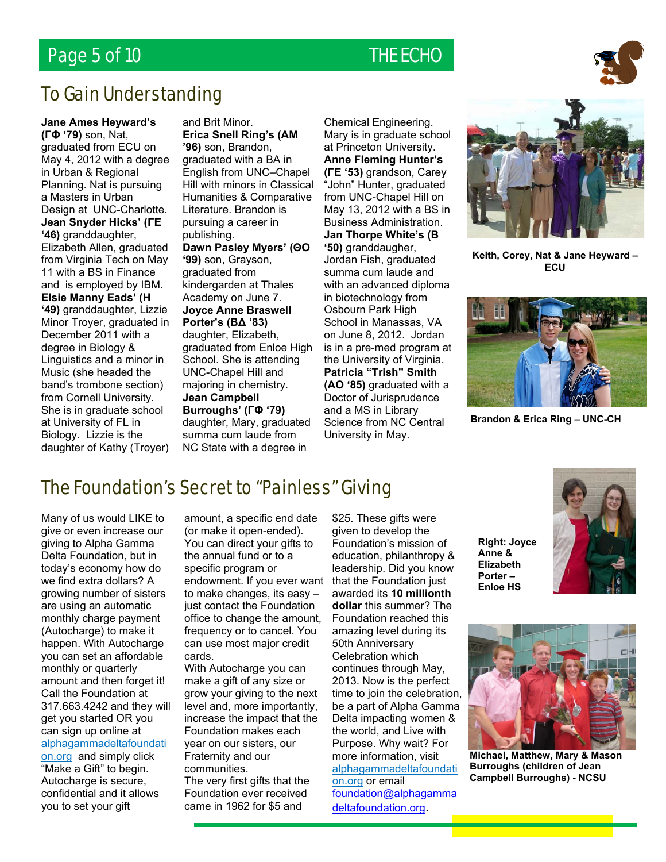## Page 5 of 10 THE ECHO



## To Gain Understanding

**Jane Ames Heyward's (ΓΦ '79)** son, Nat, graduated from ECU on May 4, 2012 with a degree in Urban & Regional Planning. Nat is pursuing a Masters in Urban Design at UNC-Charlotte. **Jean Snyder Hicks' (ΓE '46)** granddaughter, Elizabeth Allen, graduated from Virginia Tech on May 11 with a BS in Finance and is employed by IBM. **Elsie Manny Eads' (Η '49)** granddaughter, Lizzie Minor Troyer, graduated in December 2011 with a degree in Biology & Linguistics and a minor in Music (she headed the band's trombone section) from Cornell University. She is in graduate school at University of FL in Biology. Lizzie is the daughter of Kathy (Troyer) and Brit Minor. **Erica Snell Ring's (AM '96)** son, Brandon, graduated with a BA in English from UNC–Chapel Hill with minors in Classical Humanities & Comparative Literature. Brandon is pursuing a career in publishing.

**Dawn Pasley Myers' (ΘΟ '99)** son, Grayson, graduated from kindergarden at Thales Academy on June 7. **Joyce Anne Braswell Porter's (ΒΔ '83)** daughter, Elizabeth, graduated from Enloe High School. She is attending UNC-Chapel Hill and majoring in chemistry. **Jean Campbell Burroughs' (ΓΦ '79)** daughter, Mary, graduated summa cum laude from NC State with a degree in

Chemical Engineering. Mary is in graduate school at Princeton University. **Anne Fleming Hunter's (ΓE '53)** grandson, Carey "John" Hunter, graduated from UNC-Chapel Hill on May 13, 2012 with a BS in Business Administration. **Jan Thorpe White's (Β '50)** granddaugher, Jordan Fish, graduated summa cum laude and with an advanced diploma in biotechnology from Osbourn Park High School in Manassas, VA on June 8, 2012. Jordan is in a pre-med program at the University of Virginia. **Patricia "Trish" Smith (AO '85)** graduated with a Doctor of Jurisprudence and a MS in Library Science from NC Central University in May.



**Keith, Corey, Nat & Jane Heyward – ECU**



**Brandon & Erica Ring – UNC-CH** 

## The Foundation's Secret to "Painless" Giving

Many of us would LIKE to give or even increase our giving to Alpha Gamma Delta Foundation, but in today's economy how do we find extra dollars? A growing number of sisters are using an automatic monthly charge payment (Autocharge) to make it happen. With Autocharge you can set an affordable monthly or quarterly amount and then forget it! Call the Foundation at 317.663.4242 and they will get you started OR you can sign up online at alphagammadeltafoundati

on.org and simply click "Make a Gift" to begin. Autocharge is secure, confidential and it allows you to set your gift

amount, a specific end date (or make it open-ended). You can direct your gifts to the annual fund or to a specific program or endowment. If you ever want that the Foundation just to make changes, its easy – just contact the Foundation office to change the amount, frequency or to cancel. You can use most major credit cards.

With Autocharge you can make a gift of any size or grow your giving to the next level and, more importantly, increase the impact that the Foundation makes each year on our sisters, our Fraternity and our communities. The very first gifts that the Foundation ever received came in 1962 for \$5 and

\$25. These gifts were given to develop the Foundation's mission of education, philanthropy & leadership. Did you know awarded its **10 millionth dollar** this summer? The Foundation reached this amazing level during its 50th Anniversary Celebration which continues through May, 2013. Now is the perfect time to join the celebration, be a part of Alpha Gamma Delta impacting women & the world, and Live with Purpose. Why wait? For more information, visit alphagammadeltafoundati on.org or email foundation@alphagamma deltafoundation.org.

**Right: Joyce Anne & Elizabeth Porter – Enloe HS** 





**Michael, Matthew, Mary & Mason Burroughs (children of Jean Campbell Burroughs) - NCSU**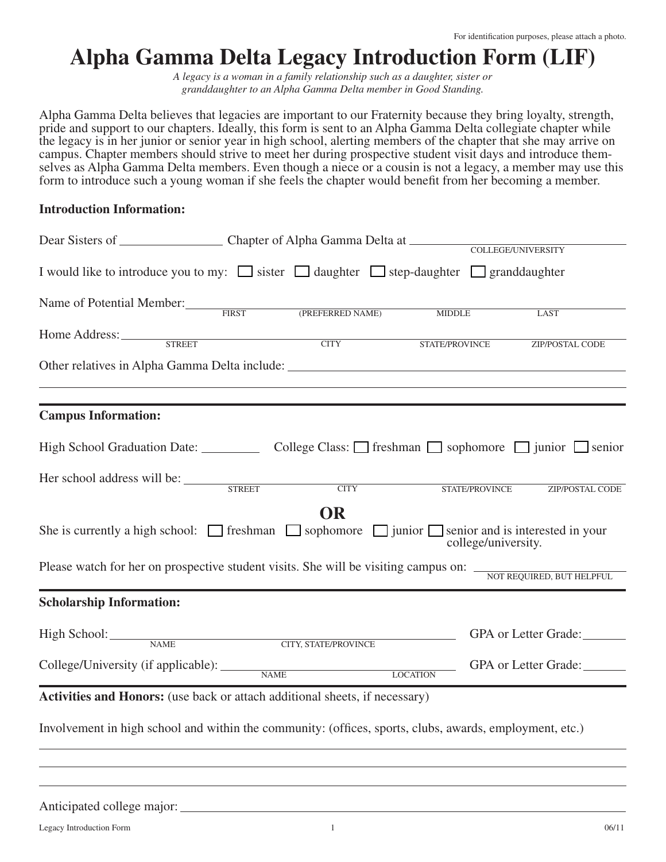## **Alpha Gamma Delta Legacy Introduction Form (LIF)**

*A legacy is a woman in a family relationship such as a daughter, sister or granddaughter to an Alpha Gamma Delta member in Good Standing.*

Alpha Gamma Delta believes that legacies are important to our Fraternity because they bring loyalty, strength, pride and support to our chapters. Ideally, this form is sent to an Alpha Gamma Delta collegiate chapter while the legacy is in her junior or senior year in high school, alerting members of the chapter that she may arrive on campus. Chapter members should strive to meet her during prospective student visit days and introduce themselves as Alpha Gamma Delta members. Even though a niece or a cousin is not a legacy, a member may use this form to introduce such a young woman if she feels the chapter would benefit from her becoming a member.

#### **Introduction Information:**

|                                                                                                                        |                                                                                                                      |                     | COLLEGE/UNIVERSITY             |
|------------------------------------------------------------------------------------------------------------------------|----------------------------------------------------------------------------------------------------------------------|---------------------|--------------------------------|
| I would like to introduce you to my: $\Box$ sister $\Box$ daughter $\Box$ step-daughter $\Box$ granddaughter           |                                                                                                                      |                     |                                |
| Name of Potential Member: FIRST (PREFERRED NAME) MIDDLE                                                                |                                                                                                                      |                     | LAST                           |
| Home Address: <u>STREET</u> CITY                                                                                       |                                                                                                                      | STATE/PROVINCE      | <b>ZIP/POSTAL CODE</b>         |
|                                                                                                                        | <u> 1989 - Andrea Santa Andrea Andrea Andrea Andrea Andrea Andrea Andrea Andrea Andrea Andrea Andrea Andrea Andr</u> |                     |                                |
| <b>Campus Information:</b>                                                                                             |                                                                                                                      |                     |                                |
| High School Graduation Date: College Class: Treshman Sphomore T junior Senior                                          |                                                                                                                      |                     |                                |
| Her school address will be: <u>STREET</u> CITY                                                                         |                                                                                                                      |                     | STATE/PROVINCE ZIP/POSTAL CODE |
| She is currently a high school: $\Box$ freshman $\Box$ sophomore $\Box$ junior $\Box$ senior and is interested in your | <b>OR</b>                                                                                                            | college/university. |                                |
| Please watch for her on prospective student visits. She will be visiting campus on: WOT REQUIRED, BUT HELPFUL          |                                                                                                                      |                     |                                |
| <b>Scholarship Information:</b>                                                                                        |                                                                                                                      |                     |                                |
| High School: NAME CITY, STATE/PROVINCE                                                                                 |                                                                                                                      |                     | GPA or Letter Grade:           |
| College/University (if applicable): NAME                                                                               |                                                                                                                      | LOCATION            | GPA or Letter Grade:           |
| Activities and Honors: (use back or attach additional sheets, if necessary)                                            |                                                                                                                      |                     |                                |
| Involvement in high school and within the community: (offices, sports, clubs, awards, employment, etc.)                |                                                                                                                      |                     |                                |
|                                                                                                                        |                                                                                                                      |                     |                                |
| Anticipated college major:                                                                                             |                                                                                                                      |                     |                                |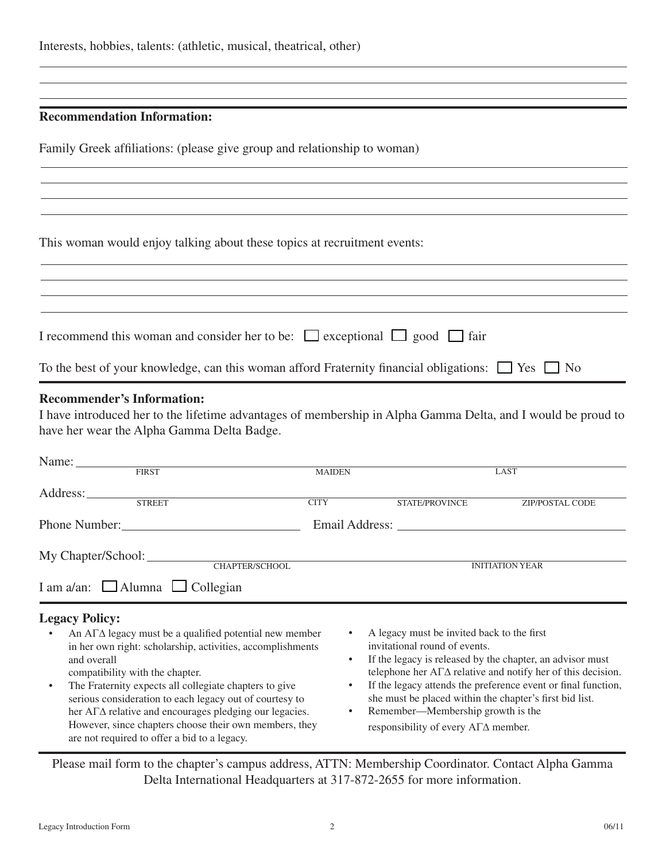### **Recommendation Information:**

Family Greek affiliations: (please give group and relationship to woman)

This woman would enjoy talking about these topics at recruitment events:

| I recommend this woman and consider her to be: $\Box$ exceptional $\Box$ good $\Box$ fair                   |
|-------------------------------------------------------------------------------------------------------------|
| To the best of your knowledge, can this woman afford Fraternity financial obligations: $\Box$ Yes $\Box$ No |

### **Recommender's Information:**

I have introduced her to the lifetime advantages of membership in Alpha Gamma Delta, and I would be proud to have her wear the Alpha Gamma Delta Badge.

| Name:                                                                                                                                                                                                                                                                                                                                                                                                                                                                                                       |                                     |                                                                                                                                                                                                                                                             |                                                                                                                                          |
|-------------------------------------------------------------------------------------------------------------------------------------------------------------------------------------------------------------------------------------------------------------------------------------------------------------------------------------------------------------------------------------------------------------------------------------------------------------------------------------------------------------|-------------------------------------|-------------------------------------------------------------------------------------------------------------------------------------------------------------------------------------------------------------------------------------------------------------|------------------------------------------------------------------------------------------------------------------------------------------|
| <b>FIRST</b>                                                                                                                                                                                                                                                                                                                                                                                                                                                                                                | <b>MAIDEN</b>                       |                                                                                                                                                                                                                                                             | LAST                                                                                                                                     |
| Address:<br><b>STREET</b>                                                                                                                                                                                                                                                                                                                                                                                                                                                                                   | <b>CITY</b>                         | <b>STATE/PROVINCE</b>                                                                                                                                                                                                                                       | ZIP/POSTAL CODE                                                                                                                          |
| Phone Number: New York 1988                                                                                                                                                                                                                                                                                                                                                                                                                                                                                 |                                     |                                                                                                                                                                                                                                                             |                                                                                                                                          |
| My Chapter/School: CHAPTER/SCHOOL                                                                                                                                                                                                                                                                                                                                                                                                                                                                           |                                     |                                                                                                                                                                                                                                                             | <b>INITIATION YEAR</b>                                                                                                                   |
| I am a/an: $\Box$ Alumna $\Box$ Collegian                                                                                                                                                                                                                                                                                                                                                                                                                                                                   |                                     |                                                                                                                                                                                                                                                             |                                                                                                                                          |
| <b>Legacy Policy:</b>                                                                                                                                                                                                                                                                                                                                                                                                                                                                                       |                                     |                                                                                                                                                                                                                                                             |                                                                                                                                          |
| An $A\Gamma\Delta$ legacy must be a qualified potential new member<br>$\bullet$<br>in her own right: scholarship, activities, accomplishments<br>and overall<br>compatibility with the chapter.<br>The Fraternity expects all collegiate chapters to give<br>$\bullet$<br>$\mathbf{a}$ , and a set of the set of the set of the set of the set of the set of the set of the set of the set of the set of the set of the set of the set of the set of the set of the set of the set of the set of the set of | $\bullet$<br>$\bullet$<br>$\bullet$ | A legacy must be invited back to the first<br>invitational round of events.<br>If the legacy is released by the chapter, an advisor must<br>the contract of the contract of the contract of the contract of the contract of the contract of the contract of | telephone her $A\Gamma\Delta$ relative and notify her of this decision.<br>If the legacy attends the preference event or final function, |

- serious consideration to each legacy out of courtesy to her  $A\Gamma\Delta$  relative and encourages pledging our legacies. However, since chapters choose their own members, they are not required to offer a bid to a legacy.
- she must be placed within the chapter's first bid list.
- Remember—Membership growth is the responsibility of every  $A\Gamma\Delta$  member.

Please mail form to the chapter's campus address, ATTN: Membership Coordinator. Contact Alpha Gamma Delta International Headquarters at 317-872-2655 for more information.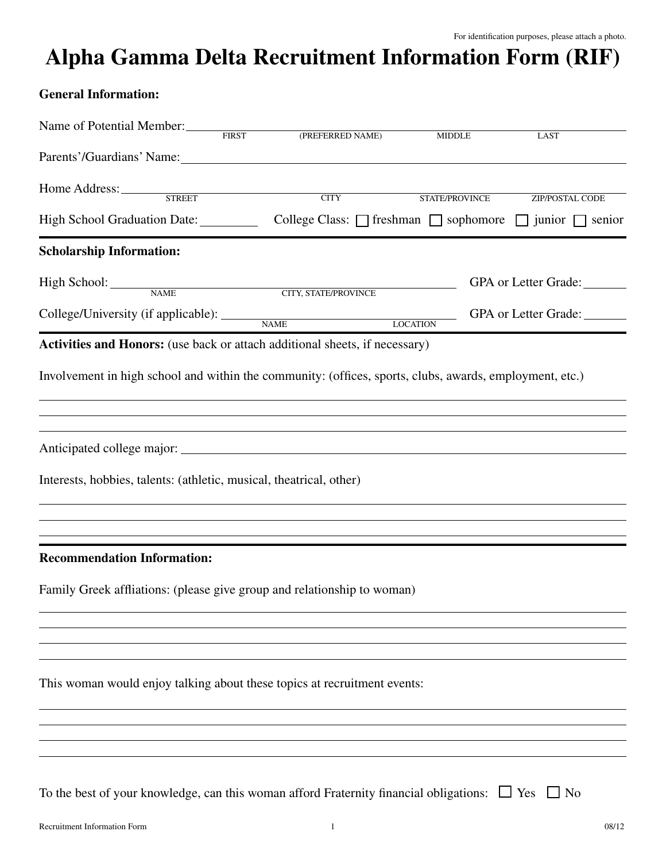## **Alpha Gamma Delta Recruitment Information Form (RIF)**

| <b>General Information:</b>                                                                                                                                                                       |                  |                 |                                                                             |
|---------------------------------------------------------------------------------------------------------------------------------------------------------------------------------------------------|------------------|-----------------|-----------------------------------------------------------------------------|
| Name of Potential Member:                                                                                                                                                                         | (PREFERRED NAME) | <b>MIDDLE</b>   | LAST                                                                        |
| Parents'/Guardians' Name: 1988 and 1989 and 1989 and 1989 and 1989 and 1989 and 1989 and 1989 and 1989 and 198                                                                                    |                  |                 |                                                                             |
| Home Address: STREET                                                                                                                                                                              | <b>CITY</b>      | STATE/PROVINCE  | ZIP/POSTAL CODE                                                             |
| High School Graduation Date: ________                                                                                                                                                             |                  |                 | College Class: $\Box$ freshman $\Box$ sophomore $\Box$ junior $\Box$ senior |
| <b>Scholarship Information:</b>                                                                                                                                                                   |                  |                 |                                                                             |
| High School: NAME CITY, STATE/PROVINCE                                                                                                                                                            |                  |                 | GPA or Letter Grade:                                                        |
| College/University (if applicable): NAME                                                                                                                                                          |                  | <b>LOCATION</b> | GPA or Letter Grade:                                                        |
| Activities and Honors: (use back or attach additional sheets, if necessary)                                                                                                                       |                  |                 |                                                                             |
| Involvement in high school and within the community: (offices, sports, clubs, awards, employment, etc.)<br>Interests, hobbies, talents: (athletic, musical, theatrical, other)                    |                  |                 |                                                                             |
| ,我们也不会有什么。""我们的人,我们也不会有什么?""我们的人,我们也不会有什么?""我们的人,我们也不会有什么?""我们的人,我们也不会有什么?""我们的人<br><b>Recommendation Information:</b><br>Family Greek affliations: (please give group and relationship to woman) |                  |                 |                                                                             |
| This woman would enjoy talking about these topics at recruitment events:                                                                                                                          |                  |                 |                                                                             |
|                                                                                                                                                                                                   |                  |                 |                                                                             |

To the best of your knowledge, can this woman afford Fraternity financial obligations:  $\Box$  Yes  $\Box$  No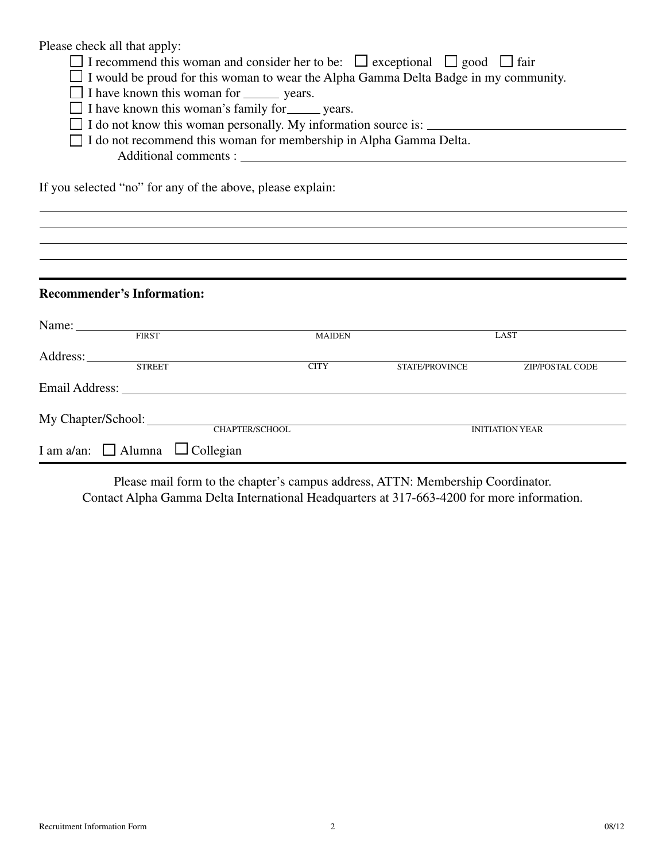Please check all that apply:

 $\Box$  I recommend this woman and consider her to be:  $\Box$  exceptional  $\Box$  good  $\Box$  fair

 $\Box$  I would be proud for this woman to wear the Alpha Gamma Delta Badge in my community.

 $\Box$  I have known this woman for  $\Box$  years.

 $\Box$  I have known this woman's family for years.

□ I do not know this woman personally. My information source is: <u>\_\_\_\_\_\_\_\_\_\_\_\_\_\_\_\_\_\_\_</u>

 I do not recommend this woman for membership in Alpha Gamma Delta. Additional comments :

If you selected "no" for any of the above, please explain:

#### **Recommender's Information:**

| Name: | the contract of the contract of the contract of the contract of the contract of the contract of the contract of |               |                        |                        |
|-------|-----------------------------------------------------------------------------------------------------------------|---------------|------------------------|------------------------|
|       | <b>FIRST</b>                                                                                                    | <b>MAIDEN</b> |                        | LAST                   |
|       | <b>STREET</b>                                                                                                   | <b>CITY</b>   | <b>STATE/PROVINCE</b>  | <b>ZIP/POSTAL CODE</b> |
|       |                                                                                                                 |               |                        |                        |
|       |                                                                                                                 |               |                        |                        |
|       |                                                                                                                 |               |                        |                        |
|       |                                                                                                                 |               |                        |                        |
|       | <b>CHAPTER/SCHOOL</b>                                                                                           |               | <b>INITIATION YEAR</b> |                        |
|       | I am a/an: $\Box$ Alumna $\Box$ Collegian                                                                       |               |                        |                        |

Please mail form to the chapter's campus address, ATTN: Membership Coordinator. Contact Alpha Gamma Delta International Headquarters at 317-663-4200 for more information.